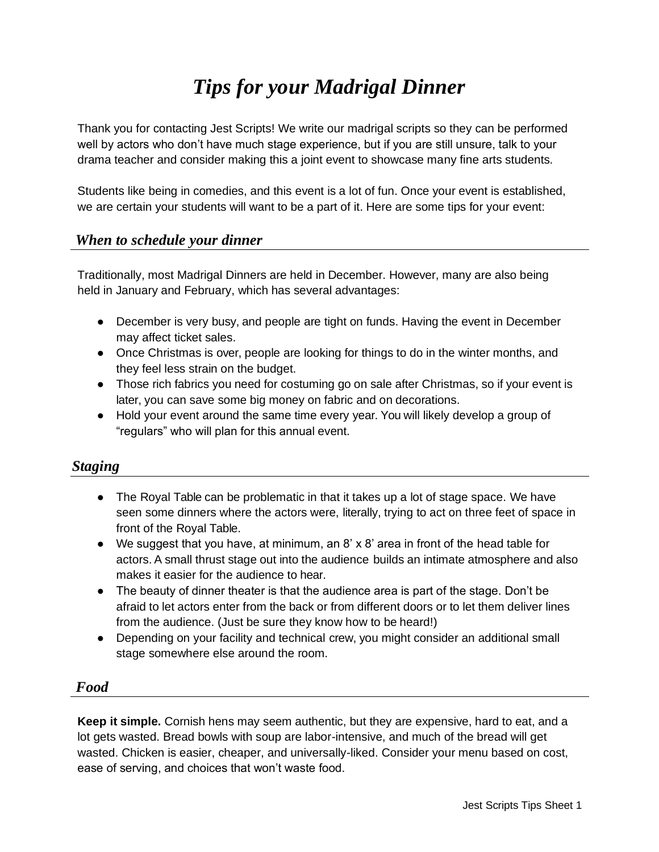# *Tips for your Madrigal Dinner*

Thank you for contacting Jest Scripts! We write our madrigal scripts so they can be performed well by actors who don't have much stage experience, but if you are still unsure, talk to your drama teacher and consider making this a joint event to showcase many fine arts students.

Students like being in comedies, and this event is a lot of fun. Once your event is established, we are certain your students will want to be a part of it. Here are some tips for your event:

## *When to schedule your dinner*

Traditionally, most Madrigal Dinners are held in December. However, many are also being held in January and February, which has several advantages:

- December is very busy, and people are tight on funds. Having the event in December may affect ticket sales.
- Once Christmas is over, people are looking for things to do in the winter months, and they feel less strain on the budget.
- Those rich fabrics you need for costuming go on sale after Christmas, so if your event is later, you can save some big money on fabric and on decorations.
- Hold your event around the same time every year. You will likely develop a group of "regulars" who will plan for this annual event.

# *Staging*

- The Royal Table can be problematic in that it takes up a lot of stage space. We have seen some dinners where the actors were, literally, trying to act on three feet of space in front of the Royal Table.
- We suggest that you have, at minimum, an 8' x 8' area in front of the head table for actors. A small thrust stage out into the audience builds an intimate atmosphere and also makes it easier for the audience to hear.
- The beauty of dinner theater is that the audience area is part of the stage. Don't be afraid to let actors enter from the back or from different doors or to let them deliver lines from the audience. (Just be sure they know how to be heard!)
- Depending on your facility and technical crew, you might consider an additional small stage somewhere else around the room.

#### *Food*

**Keep it simple.** Cornish hens may seem authentic, but they are expensive, hard to eat, and a lot gets wasted. Bread bowls with soup are labor-intensive, and much of the bread will get wasted. Chicken is easier, cheaper, and universally-liked. Consider your menu based on cost, ease of serving, and choices that won't waste food.